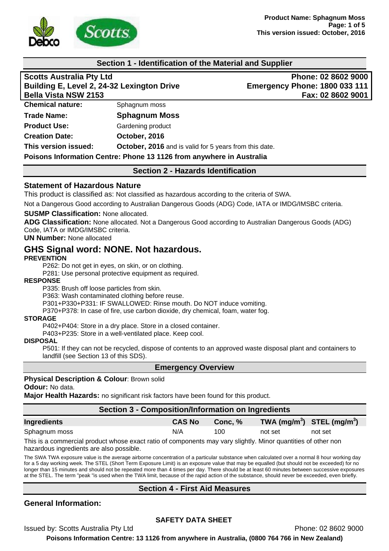

#### **Section 1 - Identification of the Material and Supplier**

| <b>Scotts Australia Pty Ltd</b>                                      |                                                        | Phone: 02 8602 9000                  |  |
|----------------------------------------------------------------------|--------------------------------------------------------|--------------------------------------|--|
| Building E, Level 2, 24-32 Lexington Drive                           |                                                        | <b>Emergency Phone: 1800 033 111</b> |  |
| <b>Bella Vista NSW 2153</b>                                          |                                                        | Fax: 02 8602 9001                    |  |
| <b>Chemical nature:</b>                                              | Sphagnum moss                                          |                                      |  |
| <b>Trade Name:</b>                                                   | <b>Sphagnum Moss</b>                                   |                                      |  |
| <b>Product Use:</b>                                                  | Gardening product                                      |                                      |  |
| <b>Creation Date:</b>                                                | October, 2016                                          |                                      |  |
| This version issued:                                                 | October, 2016 and is valid for 5 years from this date. |                                      |  |
| Poisons Information Centre: Phone 13 1126 from anywhere in Australia |                                                        |                                      |  |

**Section 2 - Hazards Identification** 

#### **Statement of Hazardous Nature**

This product is classified as: Not classified as hazardous according to the criteria of SWA.

Not a Dangerous Good according to Australian Dangerous Goods (ADG) Code, IATA or IMDG/IMSBC criteria.

#### **SUSMP Classification:** None allocated.

**ADG Classification:** None allocated. Not a Dangerous Good according to Australian Dangerous Goods (ADG) Code, IATA or IMDG/IMSBC criteria.

#### **UN Number:** None allocated

# **GHS Signal word: NONE. Not hazardous.**

#### **PREVENTION**

P262: Do not get in eyes, on skin, or on clothing.

P281: Use personal protective equipment as required.

#### **RESPONSE**

P335: Brush off loose particles from skin.

P363: Wash contaminated clothing before reuse.

P301+P330+P331: IF SWALLOWED: Rinse mouth. Do NOT induce vomiting.

P370+P378: In case of fire, use carbon dioxide, dry chemical, foam, water fog.

#### **STORAGE**

P402+P404: Store in a dry place. Store in a closed container.

P403+P235: Store in a well-ventilated place. Keep cool.

#### **DISPOSAL**

P501: If they can not be recycled, dispose of contents to an approved waste disposal plant and containers to landfill (see Section 13 of this SDS).

#### **Emergency Overview**

# **Physical Description & Colour**: Brown solid

#### **Odour:** No data.

**Major Health Hazards:** no significant risk factors have been found for this product.

# **Section 3 - Composition/Information on Ingredients**

| Ingredients   | <b>CAS No</b> | Conc. % | TWA (mg/m <sup>3</sup> ) STEL (mg/m <sup>3</sup> ) |         |
|---------------|---------------|---------|----------------------------------------------------|---------|
| Sphagnum moss | N/A           | 100     | not set                                            | not set |

This is a commercial product whose exact ratio of components may vary slightly. Minor quantities of other non hazardous ingredients are also possible.

The SWA TWA exposure value is the average airborne concentration of a particular substance when calculated over a normal 8 hour working day for a 5 day working week. The STEL (Short Term Exposure Limit) is an exposure value that may be equalled (but should not be exceeded) for no longer than 15 minutes and should not be repeated more than 4 times per day. There should be at least 60 minutes between successive exposures at the STEL. The term "peak "is used when the TWA limit, because of the rapid action of the substance, should never be exceeded, even briefly.

## **Section 4 - First Aid Measures**

## **General Information:**

## **SAFETY DATA SHEET**

Issued by: Scotts Australia Pty Ltd **Phone: 02 8602 9000** Phone: 02 8602 9000

**Poisons Information Centre: 13 1126 from anywhere in Australia, (0800 764 766 in New Zealand)**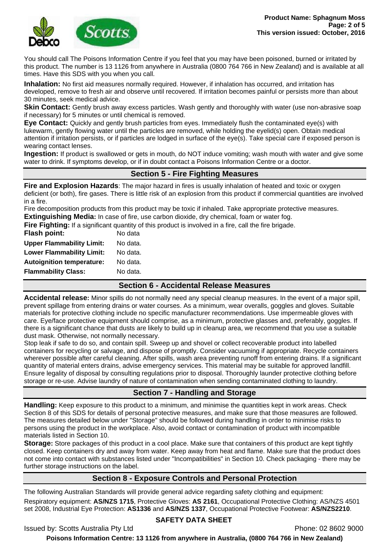

You should call The Poisons Information Centre if you feel that you may have been poisoned, burned or irritated by this product. The number is 13 1126 from anywhere in Australia (0800 764 766 in New Zealand) and is available at all times. Have this SDS with you when you call.

**Inhalation:** No first aid measures normally required. However, if inhalation has occurred, and irritation has developed, remove to fresh air and observe until recovered. If irritation becomes painful or persists more than about 30 minutes, seek medical advice.

**Skin Contact:** Gently brush away excess particles. Wash gently and thoroughly with water (use non-abrasive soap if necessary) for 5 minutes or until chemical is removed.

**Eye Contact:** Quickly and gently brush particles from eyes. Immediately flush the contaminated eye(s) with lukewarm, gently flowing water until the particles are removed, while holding the eyelid(s) open. Obtain medical attention if irritation persists, or if particles are lodged in surface of the eye(s). Take special care if exposed person is wearing contact lenses.

**Ingestion:** If product is swallowed or gets in mouth, do NOT induce vomiting; wash mouth with water and give some water to drink. If symptoms develop, or if in doubt contact a Poisons Information Centre or a doctor.

## **Section 5 - Fire Fighting Measures**

**Fire and Explosion Hazards**: The major hazard in fires is usually inhalation of heated and toxic or oxygen deficient (or both), fire gases. There is little risk of an explosion from this product if commercial quantities are involved in a fire.

Fire decomposition products from this product may be toxic if inhaled. Take appropriate protective measures.

**Extinguishing Media:** In case of fire, use carbon dioxide, dry chemical, foam or water fog.

| <b>Flammability Class:</b>       | No data.                                                                                               |
|----------------------------------|--------------------------------------------------------------------------------------------------------|
| <b>Autoignition temperature:</b> | No data.                                                                                               |
| <b>Lower Flammability Limit:</b> | No data.                                                                                               |
| <b>Upper Flammability Limit:</b> | No data.                                                                                               |
| Flash point:                     | No data                                                                                                |
|                                  | Fire Fighting: If a significant quantity of this product is involved in a fire, call the fire brigade. |
|                                  |                                                                                                        |

## **Section 6 - Accidental Release Measures**

**Accidental release:** Minor spills do not normally need any special cleanup measures. In the event of a major spill, prevent spillage from entering drains or water courses. As a minimum, wear overalls, goggles and gloves. Suitable materials for protective clothing include no specific manufacturer recommendations. Use impermeable gloves with care. Eye/face protective equipment should comprise, as a minimum, protective glasses and, preferably, goggles. If there is a significant chance that dusts are likely to build up in cleanup area, we recommend that you use a suitable dust mask. Otherwise, not normally necessary.

Stop leak if safe to do so, and contain spill. Sweep up and shovel or collect recoverable product into labelled containers for recycling or salvage, and dispose of promptly. Consider vacuuming if appropriate. Recycle containers wherever possible after careful cleaning. After spills, wash area preventing runoff from entering drains. If a significant quantity of material enters drains, advise emergency services. This material may be suitable for approved landfill. Ensure legality of disposal by consulting regulations prior to disposal. Thoroughly launder protective clothing before storage or re-use. Advise laundry of nature of contamination when sending contaminated clothing to laundry.

# **Section 7 - Handling and Storage**

**Handling:** Keep exposure to this product to a minimum, and minimise the quantities kept in work areas. Check Section 8 of this SDS for details of personal protective measures, and make sure that those measures are followed. The measures detailed below under "Storage" should be followed during handling in order to minimise risks to persons using the product in the workplace. Also, avoid contact or contamination of product with incompatible materials listed in Section 10.

**Storage:** Store packages of this product in a cool place. Make sure that containers of this product are kept tightly closed. Keep containers dry and away from water. Keep away from heat and flame. Make sure that the product does not come into contact with substances listed under "Incompatibilities" in Section 10. Check packaging - there may be further storage instructions on the label.

## **Section 8 - Exposure Controls and Personal Protection**

The following Australian Standards will provide general advice regarding safety clothing and equipment:

Respiratory equipment: **AS/NZS 1715**, Protective Gloves: **AS 2161**, Occupational Protective Clothing: AS/NZS 4501 set 2008, Industrial Eye Protection: **AS1336** and **AS/NZS 1337**, Occupational Protective Footwear: **AS/NZS2210**.

## **SAFETY DATA SHEET**

Issued by: Scotts Australia Pty Ltd **Phone: 02 8602 9000** Phone: 02 8602 9000

**Poisons Information Centre: 13 1126 from anywhere in Australia, (0800 764 766 in New Zealand)**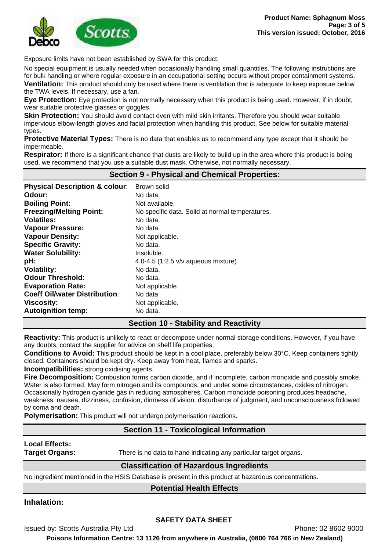

Exposure limits have not been established by SWA for this product.

No special equipment is usually needed when occasionally handling small quantities. The following instructions are for bulk handling or where regular exposure in an occupational setting occurs without proper containment systems. **Ventilation:** This product should only be used where there is ventilation that is adequate to keep exposure below

the TWA levels. If necessary, use a fan.

**Eye Protection:** Eye protection is not normally necessary when this product is being used. However, if in doubt, wear suitable protective glasses or goggles.

**Skin Protection:** You should avoid contact even with mild skin irritants. Therefore you should wear suitable impervious elbow-length gloves and facial protection when handling this product. See below for suitable material types.

**Protective Material Types:** There is no data that enables us to recommend any type except that it should be impermeable.

**Respirator:** If there is a significant chance that dusts are likely to build up in the area where this product is being used, we recommend that you use a suitable dust mask. Otherwise, not normally necessary.

| <b>Section 9 - Physical and Chemical Properties:</b> |                                                 |  |
|------------------------------------------------------|-------------------------------------------------|--|
| <b>Physical Description &amp; colour:</b>            | Brown solid                                     |  |
| Odour:                                               | No data.                                        |  |
| <b>Boiling Point:</b>                                | Not available.                                  |  |
| <b>Freezing/Melting Point:</b>                       | No specific data. Solid at normal temperatures. |  |
| <b>Volatiles:</b>                                    | No data.                                        |  |
| <b>Vapour Pressure:</b>                              | No data.                                        |  |
| <b>Vapour Density:</b>                               | Not applicable.                                 |  |
| <b>Specific Gravity:</b>                             | No data.                                        |  |
| <b>Water Solubility:</b>                             | Insoluble.                                      |  |
| pH:                                                  | 4.0-4.5 $(1:2.5 \text{ v/v}$ aqueous mixture)   |  |
| <b>Volatility:</b>                                   | No data.                                        |  |
| <b>Odour Threshold:</b>                              | No data.                                        |  |
| <b>Evaporation Rate:</b>                             | Not applicable.                                 |  |
| <b>Coeff Oil/water Distribution:</b>                 | No data                                         |  |
| <b>Viscosity:</b>                                    | Not applicable.                                 |  |
| <b>Autoignition temp:</b>                            | No data.                                        |  |

# **Section 10 - Stability and Reactivity**

**Reactivity:** This product is unlikely to react or decompose under normal storage conditions. However, if you have any doubts, contact the supplier for advice on shelf life properties.

**Conditions to Avoid:** This product should be kept in a cool place, preferably below 30°C. Keep containers tightly closed. Containers should be kept dry. Keep away from heat, flames and sparks.

**Incompatibilities:** strong oxidising agents.

**Fire Decomposition:** Combustion forms carbon dioxide, and if incomplete, carbon monoxide and possibly smoke. Water is also formed. May form nitrogen and its compounds, and under some circumstances, oxides of nitrogen. Occasionally hydrogen cyanide gas in reducing atmospheres. Carbon monoxide poisoning produces headache, weakness, nausea, dizziness, confusion, dimness of vision, disturbance of judgment, and unconsciousness followed by coma and death.

**Polymerisation:** This product will not undergo polymerisation reactions.

## **Section 11 - Toxicological Information**

**Local Effects:** 

**Target Organs:** There is no data to hand indicating any particular target organs.

## **Classification of Hazardous Ingredients**

No ingredient mentioned in the HSIS Database is present in this product at hazardous concentrations.

## **Potential Health Effects**

# **Inhalation:**

## **SAFETY DATA SHEET**

Issued by: Scotts Australia Pty Ltd **Phone: 02 8602 9000** 

**Poisons Information Centre: 13 1126 from anywhere in Australia, (0800 764 766 in New Zealand)**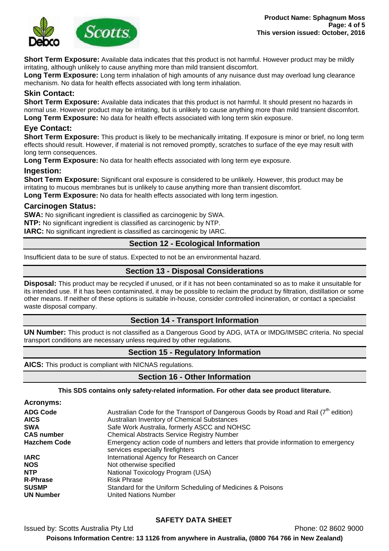

**Short Term Exposure:** Available data indicates that this product is not harmful. However product may be mildly irritating, although unlikely to cause anything more than mild transient discomfort.

**Long Term Exposure:** Long term inhalation of high amounts of any nuisance dust may overload lung clearance mechanism. No data for health effects associated with long term inhalation.

## **Skin Contact:**

**Short Term Exposure:** Available data indicates that this product is not harmful. It should present no hazards in normal use. However product may be irritating, but is unlikely to cause anything more than mild transient discomfort. **Long Term Exposure:** No data for health effects associated with long term skin exposure.

## **Eye Contact:**

**Short Term Exposure:** This product is likely to be mechanically irritating. If exposure is minor or brief, no long term effects should result. However, if material is not removed promptly, scratches to surface of the eye may result with long term consequences.

**Long Term Exposure:** No data for health effects associated with long term eye exposure.

#### **Ingestion:**

**Short Term Exposure:** Significant oral exposure is considered to be unlikely. However, this product may be irritating to mucous membranes but is unlikely to cause anything more than transient discomfort.

**Long Term Exposure:** No data for health effects associated with long term ingestion.

#### **Carcinogen Status:**

**SWA:** No significant ingredient is classified as carcinogenic by SWA.

**NTP:** No significant ingredient is classified as carcinogenic by NTP.

**IARC:** No significant ingredient is classified as carcinogenic by IARC.

## **Section 12 - Ecological Information**

Insufficient data to be sure of status. Expected to not be an environmental hazard.

## **Section 13 - Disposal Considerations**

**Disposal:** This product may be recycled if unused, or if it has not been contaminated so as to make it unsuitable for its intended use. If it has been contaminated, it may be possible to reclaim the product by filtration, distillation or some other means. If neither of these options is suitable in-house, consider controlled incineration, or contact a specialist waste disposal company.

## **Section 14 - Transport Information**

**UN Number:** This product is not classified as a Dangerous Good by ADG, IATA or IMDG/IMSBC criteria. No special transport conditions are necessary unless required by other regulations.

## **Section 15 - Regulatory Information**

**AICS:** This product is compliant with NICNAS regulations.

# **Section 16 - Other Information**

#### **This SDS contains only safety-related information. For other data see product literature.**

| <b>Acronyms:</b> |
|------------------|
|------------------|

| <b>ADG Code</b>     | Australian Code for the Transport of Dangerous Goods by Road and Rail (7 <sup>th</sup> edition)                        |
|---------------------|------------------------------------------------------------------------------------------------------------------------|
| <b>AICS</b>         | Australian Inventory of Chemical Substances                                                                            |
| <b>SWA</b>          | Safe Work Australia, formerly ASCC and NOHSC                                                                           |
| <b>CAS number</b>   | <b>Chemical Abstracts Service Registry Number</b>                                                                      |
| <b>Hazchem Code</b> | Emergency action code of numbers and letters that provide information to emergency<br>services especially firefighters |
| <b>IARC</b>         | International Agency for Research on Cancer                                                                            |
| <b>NOS</b>          | Not otherwise specified                                                                                                |
| <b>NTP</b>          | National Toxicology Program (USA)                                                                                      |
| <b>R-Phrase</b>     | <b>Risk Phrase</b>                                                                                                     |
| <b>SUSMP</b>        | Standard for the Uniform Scheduling of Medicines & Poisons                                                             |
| <b>UN Number</b>    | <b>United Nations Number</b>                                                                                           |

# **SAFETY DATA SHEET**

Issued by: Scotts Australia Pty Ltd **Phone: 02 8602 9000** Phone: 02 8602 9000 **Poisons Information Centre: 13 1126 from anywhere in Australia, (0800 764 766 in New Zealand)**